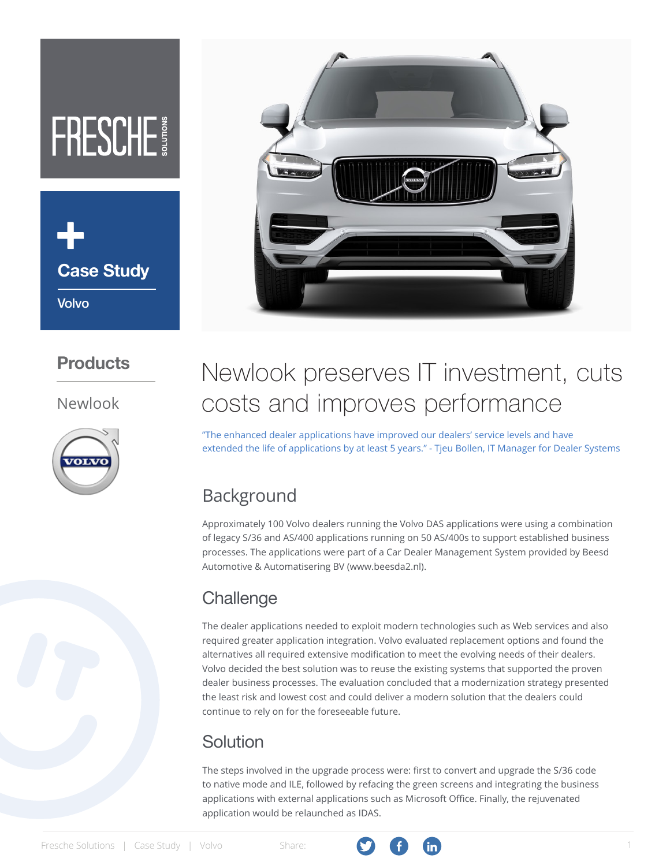# FRESCHE



### **Products**

#### Newlook





## Newlook preserves IT investment, cuts costs and improves performance

"The enhanced dealer applications have improved our dealers' service levels and have extended the life of applications by at least 5 years." - Tjeu Bollen, IT Manager for Dealer Systems

## Background

Approximately 100 Volvo dealers running the Volvo DAS applications were using a combination of legacy S/36 and AS/400 applications running on 50 AS/400s to support established business processes. The applications were part of a Car Dealer Management System provided by Beesd Automotive & Automatisering BV (www.beesda2.nl).

## **Challenge**

The dealer applications needed to exploit modern technologies such as Web services and also required greater application integration. Volvo evaluated replacement options and found the alternatives all required extensive modification to meet the evolving needs of their dealers. Volvo decided the best solution was to reuse the existing systems that supported the proven dealer business processes. The evaluation concluded that a modernization strategy presented the least risk and lowest cost and could deliver a modern solution that the dealers could continue to rely on for the foreseeable future.

## Solution

The steps involved in the upgrade process were: first to convert and upgrade the S/36 code to native mode and ILE, followed by refacing the green screens and integrating the business applications with external applications such as Microsoft Office. Finally, the rejuvenated application would be relaunched as IDAS.